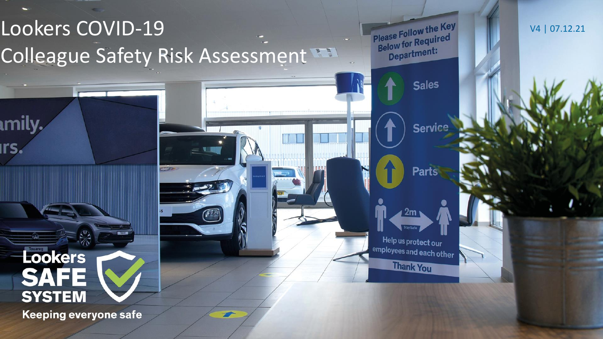# Lookers COVID-19 Colleague Safety Risk Assessment

52

Please Follow the Key Please Follow the Please<br>Below for Required Department:

**Sales** 

Service

**Parts** 

 $2m$ 

Help us protect our employees and each other

**Thank You** 

V4 | 07.12.21

Lookers **SAFE SYSTEM** 

ımily

**Irs** 

Keeping everyone safe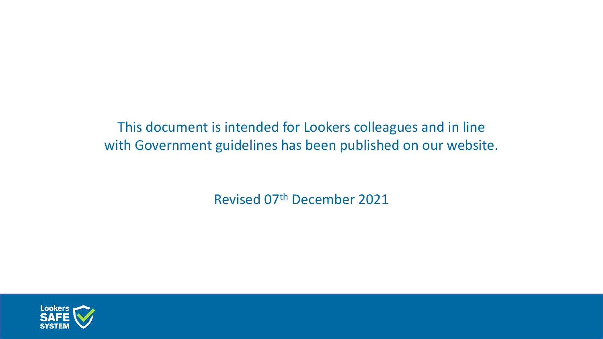This document is intended for Lookers colleagues and in line with Government guidelines has been published on our website.

Revised 07th December 2021

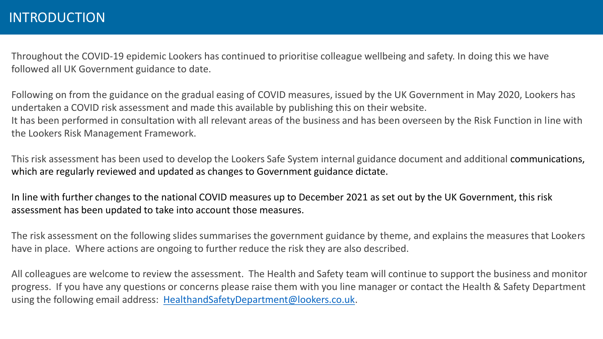Throughout the COVID-19 epidemic Lookers has continued to prioritise colleague wellbeing and safety. In doing this we have followed all UK Government guidance to date.

Following on from the guidance on the gradual easing of COVID measures, issued by the UK Government in May 2020, Lookers has undertaken a COVID risk assessment and made this available by publishing this on their website. It has been performed in consultation with all relevant areas of the business and has been overseen by the Risk Function in line with the Lookers Risk Management Framework.

This risk assessment has been used to develop the Lookers Safe System internal guidance document and additional communications, which are regularly reviewed and updated as changes to Government guidance dictate.

In line with further changes to the national COVID measures up to December 2021 as set out by the UK Government, this risk assessment has been updated to take into account those measures.

The risk assessment on the following slides summarises the government guidance by theme, and explains the measures that Lookers have in place. Where actions are ongoing to further reduce the risk they are also described.

All colleagues are welcome to review the assessment. The Health and Safety team will continue to support the business and monitor progress. If you have any questions or concerns please raise them with you line manager or contact the Health & Safety Department using the following email address: [HealthandSafetyDepartment@lookers.co.uk](mailto:HealthandSafetyDepartment@lookers.co.uk).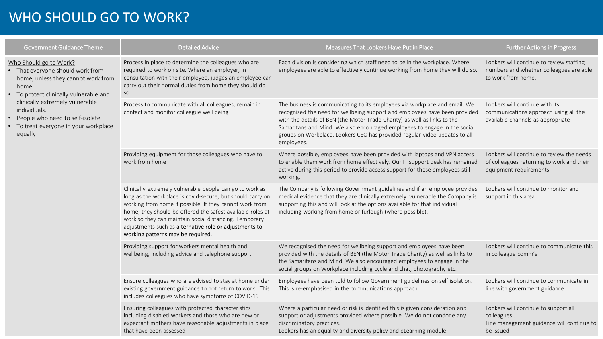### WHO SHOULD GO TO WORK?

| <b>Government Guidance Theme</b>                                                                                                                                                                                                                                                                | <b>Detailed Advice</b>                                                                                                                                                                                                                                                                                                                                                                                   | Measures That Lookers Have Put in Place                                                                                                                                                                                                                                                                                                                                                                        | <b>Further Actions in Progress</b>                                                                               |
|-------------------------------------------------------------------------------------------------------------------------------------------------------------------------------------------------------------------------------------------------------------------------------------------------|----------------------------------------------------------------------------------------------------------------------------------------------------------------------------------------------------------------------------------------------------------------------------------------------------------------------------------------------------------------------------------------------------------|----------------------------------------------------------------------------------------------------------------------------------------------------------------------------------------------------------------------------------------------------------------------------------------------------------------------------------------------------------------------------------------------------------------|------------------------------------------------------------------------------------------------------------------|
| Who Should go to Work?<br>• That everyone should work from<br>home, unless they cannot work from<br>home.<br>• To protect clinically vulnerable and<br>clinically extremely vulnerable<br>individuals.<br>• People who need to self-isolate<br>• To treat everyone in your workplace<br>equally | Process in place to determine the colleagues who are<br>required to work on site. Where an employer, in<br>consultation with their employee, judges an employee can<br>carry out their normal duties from home they should do<br>SO.                                                                                                                                                                     | Each division is considering which staff need to be in the workplace. Where<br>employees are able to effectively continue working from home they will do so.                                                                                                                                                                                                                                                   | Lookers will continue to review staffing<br>numbers and whether colleagues are able<br>to work from home.        |
|                                                                                                                                                                                                                                                                                                 | Process to communicate with all colleagues, remain in<br>contact and monitor colleague well being                                                                                                                                                                                                                                                                                                        | The business is communicating to its employees via workplace and email. We<br>recognised the need for wellbeing support and employees have been provided<br>with the details of BEN (the Motor Trade Charity) as well as links to the<br>Samaritans and Mind. We also encouraged employees to engage in the social<br>groups on Workplace. Lookers CEO has provided regular video updates to all<br>employees. | Lookers will continue with its<br>communications approach using all the<br>available channels as appropriate     |
|                                                                                                                                                                                                                                                                                                 | Providing equipment for those colleagues who have to<br>work from home                                                                                                                                                                                                                                                                                                                                   | Where possible, employees have been provided with laptops and VPN access<br>to enable them work from home effectively. Our IT support desk has remained<br>active during this period to provide access support for those employees still<br>working.                                                                                                                                                           | Lookers will continue to review the needs<br>of colleagues returning to work and their<br>equipment requirements |
|                                                                                                                                                                                                                                                                                                 | Clinically extremely vulnerable people can go to work as<br>long as the workplace is covid-secure, but should carry on<br>working from home if possible. If they cannot work from<br>home, they should be offered the safest available roles at<br>work so they can maintain social distancing. Temporary<br>adjustments such as alternative role or adjustments to<br>working patterns may be required. | The Company is following Government guidelines and if an employee provides<br>medical evidence that they are clinically extremely vulnerable the Company is<br>supporting this and will look at the options available for that individual<br>including working from home or furlough (where possible).                                                                                                         | Lookers will continue to monitor and<br>support in this area                                                     |
|                                                                                                                                                                                                                                                                                                 | Providing support for workers mental health and<br>wellbeing, including advice and telephone support                                                                                                                                                                                                                                                                                                     | We recognised the need for wellbeing support and employees have been<br>provided with the details of BEN (the Motor Trade Charity) as well as links to<br>the Samaritans and Mind. We also encouraged employees to engage in the<br>social groups on Workplace including cycle and chat, photography etc.                                                                                                      | Lookers will continue to communicate this<br>in colleague comm's                                                 |
|                                                                                                                                                                                                                                                                                                 | Ensure colleagues who are advised to stay at home under<br>existing government guidance to not return to work. This<br>includes colleagues who have symptoms of COVID-19                                                                                                                                                                                                                                 | Employees have been told to follow Government guidelines on self isolation.<br>This is re-emphasised in the communications approach                                                                                                                                                                                                                                                                            | Lookers will continue to communicate in<br>line with government guidance                                         |
|                                                                                                                                                                                                                                                                                                 | Ensuring colleagues with protected characteristics<br>including disabled workers and those who are new or<br>expectant mothers have reasonable adjustments in place<br>that have been assessed                                                                                                                                                                                                           | Where a particular need or risk is identified this is given consideration and<br>support or adjustments provided where possible. We do not condone any<br>discriminatory practices.<br>Lookers has an equality and diversity policy and eLearning module.                                                                                                                                                      | Lookers will continue to support all<br>colleagues<br>Line management guidance will continue to<br>be issued     |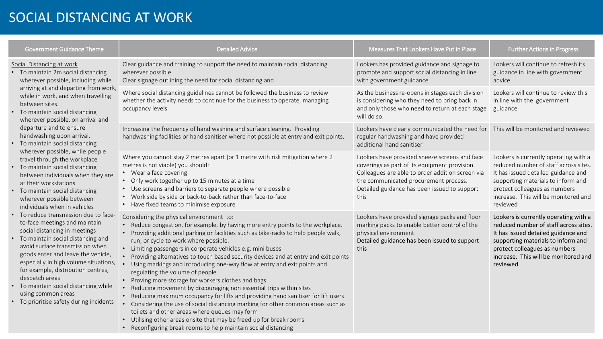#### SOCIAL DISTANCING AT WORK

| <b>Government Guidance Theme</b>                                                                                                                                                                                                                                                                                                                                                                                             | <b>Detailed Advice</b>                                                                                                                                                                                                                                                                                                                                                                                                                                                                                                                                                                                                                                                                                                                                                                                                                                                                                                                                                                                                                  | Measures That Lookers Have Put in Place                                                                                                                                                                                                             | <b>Further Actions in Progress</b>                                                                                                                                                                                                               |
|------------------------------------------------------------------------------------------------------------------------------------------------------------------------------------------------------------------------------------------------------------------------------------------------------------------------------------------------------------------------------------------------------------------------------|-----------------------------------------------------------------------------------------------------------------------------------------------------------------------------------------------------------------------------------------------------------------------------------------------------------------------------------------------------------------------------------------------------------------------------------------------------------------------------------------------------------------------------------------------------------------------------------------------------------------------------------------------------------------------------------------------------------------------------------------------------------------------------------------------------------------------------------------------------------------------------------------------------------------------------------------------------------------------------------------------------------------------------------------|-----------------------------------------------------------------------------------------------------------------------------------------------------------------------------------------------------------------------------------------------------|--------------------------------------------------------------------------------------------------------------------------------------------------------------------------------------------------------------------------------------------------|
| Social Distancing at work<br>To maintain 2m social distancing<br>wherever possible, including while<br>arriving at and departing from work,<br>while in work, and when travelling<br>between sites.<br>To maintain social distancing<br>wherever possible, on arrival and                                                                                                                                                    | Clear guidance and training to support the need to maintain social distancing<br>wherever possible<br>Clear signage outlining the need for social distancing and                                                                                                                                                                                                                                                                                                                                                                                                                                                                                                                                                                                                                                                                                                                                                                                                                                                                        | Lookers has provided guidance and signage to<br>promote and support social distancing in line<br>with government guidance                                                                                                                           | Lookers will continue to refresh its<br>guidance in line with government<br>advice                                                                                                                                                               |
|                                                                                                                                                                                                                                                                                                                                                                                                                              | Where social distancing guidelines cannot be followed the business to review<br>whether the activity needs to continue for the business to operate, managing<br>occupancy levels                                                                                                                                                                                                                                                                                                                                                                                                                                                                                                                                                                                                                                                                                                                                                                                                                                                        | As the business re-opens in stages each division<br>is considering who they need to bring back in<br>and only those who need to return at each stage<br>will do so.                                                                                 | Lookers will continue to review this<br>in line with the government<br>guidance                                                                                                                                                                  |
| departure and to ensure<br>handwashing upon arrival.<br>To maintain social distancing                                                                                                                                                                                                                                                                                                                                        | Increasing the frequency of hand washing and surface cleaning. Providing<br>handwashing facilities or hand sanitiser where not possible at entry and exit points.                                                                                                                                                                                                                                                                                                                                                                                                                                                                                                                                                                                                                                                                                                                                                                                                                                                                       | Lookers have clearly communicated the need for This will be monitored and reviewed<br>regular handwashing and have provided<br>additional hand sanitiser                                                                                            |                                                                                                                                                                                                                                                  |
| wherever possible, while people<br>travel through the workplace<br>• To maintain social distancing<br>between individuals when they are<br>at their workstations<br>• To maintain social distancing<br>wherever possible between<br>individuals when in vehicles                                                                                                                                                             | Where you cannot stay 2 metres apart (or 1 metre with risk mitigation where 2<br>metres is not viable) you should:<br>• Wear a face covering<br>• Only work together up to 15 minutes at a time<br>• Use screens and barriers to separate people where possible<br>• Work side by side or back-to-back rather than face-to-face<br>• Have fixed teams to minimise exposure                                                                                                                                                                                                                                                                                                                                                                                                                                                                                                                                                                                                                                                              | Lookers have provided sneeze screens and face<br>coverings as part of its equipment provision.<br>Colleagues are able to order addition screen via<br>the communicated procurement process.<br>Detailed guidance has been issued to support<br>this | Lookers is currently operating with a<br>reduced number of staff across sites.<br>It has issued detailed guidance and<br>supporting materials to inform and<br>protect colleagues as numbers<br>increase. This will be monitored and<br>reviewed |
| To reduce transmission due to face-<br>to-face meetings and maintain<br>social distancing in meetings<br>• To maintain social distancing and<br>avoid surface transmission when<br>goods enter and leave the vehicle,<br>especially in high volume situations,<br>for example, distribution centres,<br>despatch areas<br>To maintain social distancing while<br>using common areas<br>To prioritise safety during incidents | Considering the physical environment to:<br>• Reduce congestion, for example, by having more entry points to the workplace.<br>• Providing additional parking or facilities such as bike-racks to help people walk,<br>run, or cycle to work where possible.<br>• Limiting passengers in corporate vehicles e.g. mini buses<br>• Providing alternatives to touch based security devices and at entry and exit points<br>Using markings and introducing one-way flow at entry and exit points and<br>regulating the volume of people<br>• Proving more storage for workers clothes and bags<br>• Reducing movement by discouraging non essential trips within sites<br>• Reducing maximum occupancy for lifts and providing hand sanitiser for lift users<br>• Considering the use of social distancing marking for other common areas such as<br>toilets and other areas where queues may form<br>• Utilising other areas onsite that may be freed up for break rooms<br>• Reconfiguring break rooms to help maintain social distancing | Lookers have provided signage packs and floor<br>marking packs to enable better control of the<br>physical environment.<br>Detailed guidance has been issued to support<br>this                                                                     | Lookers is currently operating with a<br>reduced number of staff across sites.<br>It has issued detailed guidance and<br>supporting materials to inform and<br>protect colleagues as numbers<br>increase. This will be monitored and<br>reviewed |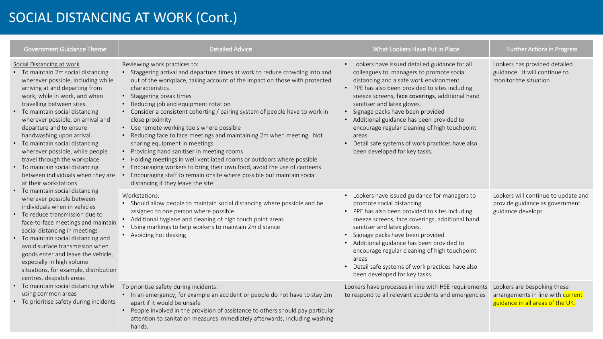## SOCIAL DISTANCING AT WORK (Cont.)

| <b>Government Guidance Theme</b>                                                                                                                                                                                                                                                                                                                                                                                                                                                                                                                                                                                                                                                                                                                                                                                                                                                                                                                                                                                                                                                       | <b>Detailed Advice</b>                                                                                                                                                                                                                                                                                                                                                                                                                                                                                                                                                                                                                                                                                                                                                                                                                                            | What Lookers Have Put in Place                                                                                                                                                                                                                                                                                                                                                                                                                                                                               | <b>Further Actions in Progress</b>                                                                   |
|----------------------------------------------------------------------------------------------------------------------------------------------------------------------------------------------------------------------------------------------------------------------------------------------------------------------------------------------------------------------------------------------------------------------------------------------------------------------------------------------------------------------------------------------------------------------------------------------------------------------------------------------------------------------------------------------------------------------------------------------------------------------------------------------------------------------------------------------------------------------------------------------------------------------------------------------------------------------------------------------------------------------------------------------------------------------------------------|-------------------------------------------------------------------------------------------------------------------------------------------------------------------------------------------------------------------------------------------------------------------------------------------------------------------------------------------------------------------------------------------------------------------------------------------------------------------------------------------------------------------------------------------------------------------------------------------------------------------------------------------------------------------------------------------------------------------------------------------------------------------------------------------------------------------------------------------------------------------|--------------------------------------------------------------------------------------------------------------------------------------------------------------------------------------------------------------------------------------------------------------------------------------------------------------------------------------------------------------------------------------------------------------------------------------------------------------------------------------------------------------|------------------------------------------------------------------------------------------------------|
| Social Distancing at work<br>• To maintain 2m social distancing<br>wherever possible, including while<br>arriving at and departing from<br>work, while in work, and when<br>travelling between sites.<br>• To maintain social distancing<br>wherever possible, on arrival and<br>departure and to ensure<br>handwashing upon arrival.<br>• To maintain social distancing<br>wherever possible, while people<br>travel through the workplace<br>To maintain social distancing<br>between individuals when they are<br>at their workstations<br>To maintain social distancing<br>wherever possible between<br>individuals when in vehicles<br>To reduce transmission due to<br>face-to-face meetings and maintain<br>social distancing in meetings<br>• To maintain social distancing and<br>avoid surface transmission when<br>goods enter and leave the vehicle,<br>especially in high volume<br>situations, for example, distribution<br>centres, despatch areas<br>To maintain social distancing while<br>$\bullet$<br>using common areas<br>• To prioritise safety during incidents | Reviewing work practices to:<br>Staggering arrival and departure times at work to reduce crowding into and<br>out of the workplace, taking account of the impact on those with protected<br>characteristics.<br>• Staggering break times<br>Reducing job and equipment rotation<br>Consider a consistent cohorting / pairing system of people have to work in<br>close proximity<br>• Use remote working tools where possible<br>• Reducing face to face meetings and maintaining 2m when meeting. Not<br>sharing equipment in meetings<br>Providing hand sanitiser in meeting rooms<br>$\bullet$<br>Holding meetings in well ventilated rooms or outdoors where possible<br>Encouraging workers to bring their own food, avoid the use of canteens<br>Encouraging staff to remain onsite where possible but maintain social<br>distancing if they leave the site | • Lookers have issued detailed guidance for all<br>colleagues to managers to promote social<br>distancing and a safe work environment<br>• PPE has also been provided to sites including<br>sneeze screens, face coverings, additional hand<br>sanitiser and latex gloves.<br>· Signage packs have been provided<br>• Additional guidance has been provided to<br>encourage regular cleaning of high touchpoint<br>areas<br>Detail safe systems of work practices have also<br>been developed for key tasks. | Lookers has provided detailed<br>guidance. It will continue to<br>monitor the situation              |
|                                                                                                                                                                                                                                                                                                                                                                                                                                                                                                                                                                                                                                                                                                                                                                                                                                                                                                                                                                                                                                                                                        | Workstations:<br>• Should allow people to maintain social distancing where possible and be<br>assigned to one person where possible<br>• Additional hygiene and cleaning of high touch point areas<br>Using markings to help workers to maintain 2m distance<br>• Avoiding hot desking                                                                                                                                                                                                                                                                                                                                                                                                                                                                                                                                                                            | • Lookers have issued guidance for managers to<br>promote social distancing<br>• PPE has also been provided to sites including<br>sneeze screens, face coverings, additional hand<br>sanitiser and latex gloves.<br>· Signage packs have been provided<br>• Additional guidance has been provided to<br>encourage regular cleaning of high touchpoint<br>areas<br>Detail safe systems of work practices have also<br>been developed for key tasks.                                                           | Lookers will continue to update and<br>provide guidance as government<br>guidance develops           |
|                                                                                                                                                                                                                                                                                                                                                                                                                                                                                                                                                                                                                                                                                                                                                                                                                                                                                                                                                                                                                                                                                        | To prioritise safety during incidents:<br>• In an emergency, for example an accident or people do not have to stay 2m<br>apart if it would be unsafe<br>People involved in the provision of assistance to others should pay particular<br>$\bullet$<br>attention to sanitation measures immediately afterwards, including washing<br>hands.                                                                                                                                                                                                                                                                                                                                                                                                                                                                                                                       | Lookers have processes in line with HSE requirements<br>to respond to all relevant accidents and emergencies                                                                                                                                                                                                                                                                                                                                                                                                 | Lookers are bespoking these<br>arrangements in line with current<br>guidance in all areas of the UK. |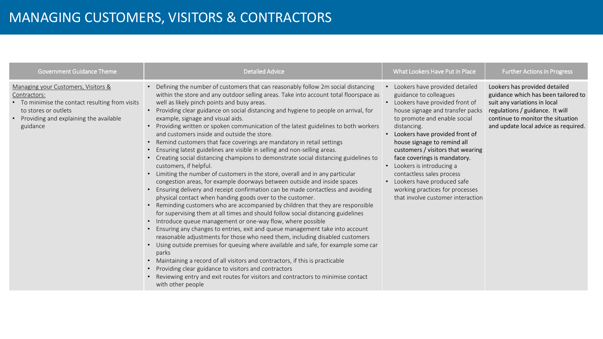| <b>Government Guidance Theme</b>                                                                                                                                                     | <b>Detailed Advice</b>                                                                                                                                                                                                                                                                                                                                                                                                                                                                                                                                                                                                                                                                                                                                                                                                                                                                                                                                                                                                                                                                                                                                                                                                                                                                                                                                                                                                                                                                                                                                                                                                                                                                                                                                                                                                                                  | What Lookers Have Put in Place                                                                                                                                                                                                                                                                                                                                                                                                                                                         | <b>Further Actions in Progress</b>                                                                                                                                                                                   |
|--------------------------------------------------------------------------------------------------------------------------------------------------------------------------------------|---------------------------------------------------------------------------------------------------------------------------------------------------------------------------------------------------------------------------------------------------------------------------------------------------------------------------------------------------------------------------------------------------------------------------------------------------------------------------------------------------------------------------------------------------------------------------------------------------------------------------------------------------------------------------------------------------------------------------------------------------------------------------------------------------------------------------------------------------------------------------------------------------------------------------------------------------------------------------------------------------------------------------------------------------------------------------------------------------------------------------------------------------------------------------------------------------------------------------------------------------------------------------------------------------------------------------------------------------------------------------------------------------------------------------------------------------------------------------------------------------------------------------------------------------------------------------------------------------------------------------------------------------------------------------------------------------------------------------------------------------------------------------------------------------------------------------------------------------------|----------------------------------------------------------------------------------------------------------------------------------------------------------------------------------------------------------------------------------------------------------------------------------------------------------------------------------------------------------------------------------------------------------------------------------------------------------------------------------------|----------------------------------------------------------------------------------------------------------------------------------------------------------------------------------------------------------------------|
| Managing your Customers, Visitors &<br>Contractors:<br>• To minimise the contact resulting from visits<br>to stores or outlets<br>Providing and explaining the available<br>guidance | • Defining the number of customers that can reasonably follow 2m social distancing<br>within the store and any outdoor selling areas. Take into account total floorspace as<br>well as likely pinch points and busy areas.<br>• Providing clear guidance on social distancing and hygiene to people on arrival, for<br>example, signage and visual aids.<br>• Providing written or spoken communication of the latest guidelines to both workers<br>and customers inside and outside the store.<br>• Remind customers that face coverings are mandatory in retail settings<br>Ensuring latest guidelines are visible in selling and non-selling areas.<br>• Creating social distancing champions to demonstrate social distancing guidelines to<br>customers, if helpful.<br>• Limiting the number of customers in the store, overall and in any particular<br>congestion areas, for example doorways between outside and inside spaces<br>• Ensuring delivery and receipt confirmation can be made contactless and avoiding<br>physical contact when handing goods over to the customer.<br>• Reminding customers who are accompanied by children that they are responsible<br>for supervising them at all times and should follow social distancing guidelines<br>• Introduce queue management or one-way flow, where possible<br>• Ensuring any changes to entries, exit and queue management take into account<br>reasonable adjustments for those who need them, including disabled customers<br>• Using outside premises for queuing where available and safe, for example some car<br>parks<br>• Maintaining a record of all visitors and contractors, if this is practicable<br>Providing clear guidance to visitors and contractors<br>• Reviewing entry and exit routes for visitors and contractors to minimise contact<br>with other people | Lookers have provided detailed<br>guidance to colleagues<br>Lookers have provided front of<br>house signage and transfer packs<br>to promote and enable social<br>distancing.<br>Lookers have provided front of<br>house signage to remind all<br>customers / visitors that wearing<br>face coverings is mandatory.<br>• Lookers is introducing a<br>contactless sales process<br>• Lookers have produced safe<br>working practices for processes<br>that involve customer interaction | Lookers has provided detailed<br>guidance which has been tailored to<br>suit any variations in local<br>regulations / guidance. It will<br>continue to monitor the situation<br>and update local advice as required. |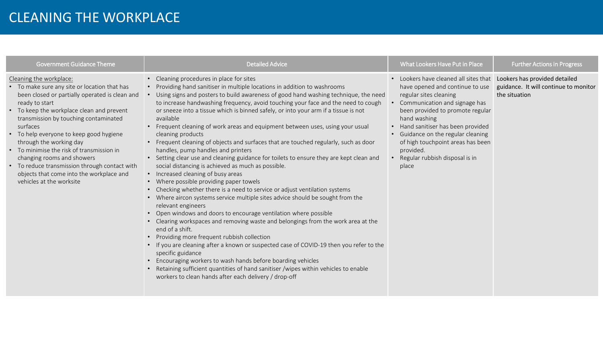#### CLEANING THE WORKPLACE

| <b>Government Guidance Theme</b>                                                                                                                                                                                                                                                                                                                                                                                                                                                                                        | <b>Detailed Advice</b>                                                                                                                                                                                                                                                                                                                                                                                                                                                                                                                                                                                                                                                                                                                                                                                                                                                                                                                                                                                                                                                                                                                                                                                                                                                                                                                                                                                                                                                                                                                                                                                                     | What Lookers Have Put in Place                                                                                                                                                                                                                                                                                                                                                                 | <b>Further Actions in Progress</b>                     |
|-------------------------------------------------------------------------------------------------------------------------------------------------------------------------------------------------------------------------------------------------------------------------------------------------------------------------------------------------------------------------------------------------------------------------------------------------------------------------------------------------------------------------|----------------------------------------------------------------------------------------------------------------------------------------------------------------------------------------------------------------------------------------------------------------------------------------------------------------------------------------------------------------------------------------------------------------------------------------------------------------------------------------------------------------------------------------------------------------------------------------------------------------------------------------------------------------------------------------------------------------------------------------------------------------------------------------------------------------------------------------------------------------------------------------------------------------------------------------------------------------------------------------------------------------------------------------------------------------------------------------------------------------------------------------------------------------------------------------------------------------------------------------------------------------------------------------------------------------------------------------------------------------------------------------------------------------------------------------------------------------------------------------------------------------------------------------------------------------------------------------------------------------------------|------------------------------------------------------------------------------------------------------------------------------------------------------------------------------------------------------------------------------------------------------------------------------------------------------------------------------------------------------------------------------------------------|--------------------------------------------------------|
| Cleaning the workplace:<br>• To make sure any site or location that has<br>been closed or partially operated is clean and<br>ready to start<br>• To keep the workplace clean and prevent<br>transmission by touching contaminated<br>surfaces<br>• To help everyone to keep good hygiene<br>through the working day<br>• To minimise the risk of transmission in<br>changing rooms and showers<br>• To reduce transmission through contact with<br>objects that come into the workplace and<br>vehicles at the worksite | • Cleaning procedures in place for sites<br>• Providing hand sanitiser in multiple locations in addition to washrooms<br>Using signs and posters to build awareness of good hand washing technique, the need<br>to increase handwashing frequency, avoid touching your face and the need to cough<br>or sneeze into a tissue which is binned safely, or into your arm if a tissue is not<br>available<br>• Frequent cleaning of work areas and equipment between uses, using your usual<br>cleaning products<br>• Frequent cleaning of objects and surfaces that are touched regularly, such as door<br>handles, pump handles and printers<br>• Setting clear use and cleaning guidance for toilets to ensure they are kept clean and<br>social distancing is achieved as much as possible.<br>• Increased cleaning of busy areas<br>• Where possible providing paper towels<br>• Checking whether there is a need to service or adjust ventilation systems<br>• Where aircon systems service multiple sites advice should be sought from the<br>relevant engineers<br>• Open windows and doors to encourage ventilation where possible<br>• Clearing workspaces and removing waste and belongings from the work area at the<br>end of a shift.<br>Providing more frequent rubbish collection<br>• If you are cleaning after a known or suspected case of COVID-19 then you refer to the<br>specific guidance<br>Encouraging workers to wash hands before boarding vehicles<br>Retaining sufficient quantities of hand sanitiser /wipes within vehicles to enable<br>workers to clean hands after each delivery / drop-off | • Lookers have cleaned all sites that Lookers has provided detailed<br>have opened and continue to use<br>regular sites cleaning<br>Communication and signage has<br>been provided to promote regular<br>hand washing<br>• Hand sanitiser has been provided<br>• Guidance on the regular cleaning<br>of high touchpoint areas has been<br>provided.<br>Regular rubbish disposal is in<br>place | guidance. It will continue to monitor<br>the situation |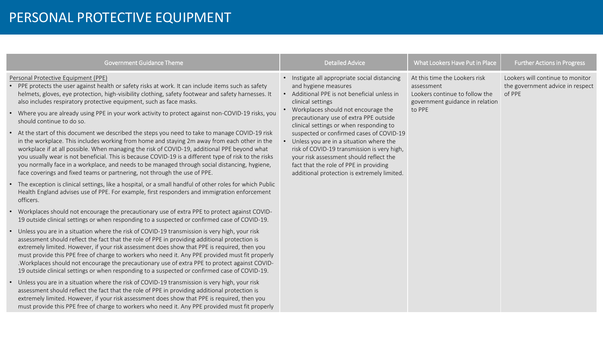#### PERSONAL PROTECTIVE EQUIPMENT

|           | <b>Government Guidance Theme</b>                                                                                                                                                                                                                                                                                                                                                                                                                                                                                                                                                                                                                                                                                                                                                                                                                                                                                                                                                                                                                | <b>Detailed Advice</b>                                                                                                                                                                                                                                                                                                                                                                                                                                                                                                                               | What Lookers Have Put in Place                                                                                             | <b>Further Actions in Progress</b>                                             |
|-----------|-------------------------------------------------------------------------------------------------------------------------------------------------------------------------------------------------------------------------------------------------------------------------------------------------------------------------------------------------------------------------------------------------------------------------------------------------------------------------------------------------------------------------------------------------------------------------------------------------------------------------------------------------------------------------------------------------------------------------------------------------------------------------------------------------------------------------------------------------------------------------------------------------------------------------------------------------------------------------------------------------------------------------------------------------|------------------------------------------------------------------------------------------------------------------------------------------------------------------------------------------------------------------------------------------------------------------------------------------------------------------------------------------------------------------------------------------------------------------------------------------------------------------------------------------------------------------------------------------------------|----------------------------------------------------------------------------------------------------------------------------|--------------------------------------------------------------------------------|
| $\bullet$ | Personal Protective Equipment (PPE)<br>PPE protects the user against health or safety risks at work. It can include items such as safety<br>helmets, gloves, eye protection, high-visibility clothing, safety footwear and safety harnesses. It<br>also includes respiratory protective equipment, such as face masks.<br>Where you are already using PPE in your work activity to protect against non-COVID-19 risks, you<br>should continue to do so.<br>At the start of this document we described the steps you need to take to manage COVID-19 risk<br>in the workplace. This includes working from home and staying 2m away from each other in the<br>workplace if at all possible. When managing the risk of COVID-19, additional PPE beyond what<br>you usually wear is not beneficial. This is because COVID-19 is a different type of risk to the risks<br>you normally face in a workplace, and needs to be managed through social distancing, hygiene,<br>face coverings and fixed teams or partnering, not through the use of PPE. | • Instigate all appropriate social distancing<br>and hygiene measures<br>• Additional PPE is not beneficial unless in<br>clinical settings<br>• Workplaces should not encourage the<br>precautionary use of extra PPE outside<br>clinical settings or when responding to<br>suspected or confirmed cases of COVID-19<br>• Unless you are in a situation where the<br>risk of COVID-19 transmission is very high,<br>your risk assessment should reflect the<br>fact that the role of PPE in providing<br>additional protection is extremely limited. | At this time the Lookers risk<br>assessment<br>Lookers continue to follow the<br>government guidance in relation<br>to PPE | Lookers will continue to monitor<br>the government advice in respect<br>of PPE |
| $\bullet$ | The exception is clinical settings, like a hospital, or a small handful of other roles for which Public<br>Health England advises use of PPE. For example, first responders and immigration enforcement<br>officers.                                                                                                                                                                                                                                                                                                                                                                                                                                                                                                                                                                                                                                                                                                                                                                                                                            |                                                                                                                                                                                                                                                                                                                                                                                                                                                                                                                                                      |                                                                                                                            |                                                                                |
| $\bullet$ | Workplaces should not encourage the precautionary use of extra PPE to protect against COVID-<br>19 outside clinical settings or when responding to a suspected or confirmed case of COVID-19.                                                                                                                                                                                                                                                                                                                                                                                                                                                                                                                                                                                                                                                                                                                                                                                                                                                   |                                                                                                                                                                                                                                                                                                                                                                                                                                                                                                                                                      |                                                                                                                            |                                                                                |
|           | Unless you are in a situation where the risk of COVID-19 transmission is very high, your risk<br>assessment should reflect the fact that the role of PPE in providing additional protection is<br>extremely limited. However, if your risk assessment does show that PPE is required, then you<br>must provide this PPE free of charge to workers who need it. Any PPE provided must fit properly<br>.Workplaces should not encourage the precautionary use of extra PPE to protect against COVID-<br>19 outside clinical settings or when responding to a suspected or confirmed case of COVID-19.                                                                                                                                                                                                                                                                                                                                                                                                                                             |                                                                                                                                                                                                                                                                                                                                                                                                                                                                                                                                                      |                                                                                                                            |                                                                                |
|           | Unless you are in a situation where the risk of COVID-19 transmission is very high, your risk<br>assessment should reflect the fact that the role of PPE in providing additional protection is<br>extremely limited. However, if your risk assessment does show that PPE is required, then you<br>must provide this PPE free of charge to workers who need it. Any PPE provided must fit properly                                                                                                                                                                                                                                                                                                                                                                                                                                                                                                                                                                                                                                               |                                                                                                                                                                                                                                                                                                                                                                                                                                                                                                                                                      |                                                                                                                            |                                                                                |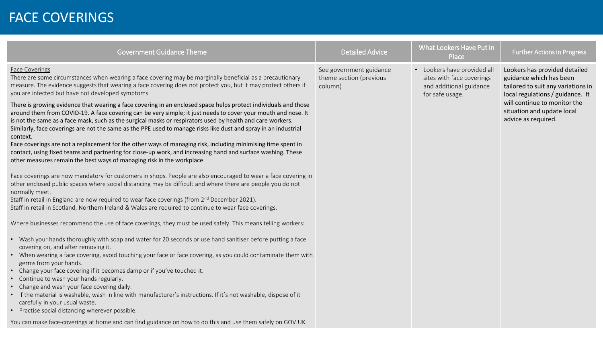#### FACE COVERINGS

| <b>Government Guidance Theme</b>                                                                                                                                                                                                                                                                                                                                                                                                                                              | <b>Detailed Advice</b>                                        | What Lookers Have Put in<br>Place                                                                      | <b>Further Actions in Progress</b>                                                                                                 |
|-------------------------------------------------------------------------------------------------------------------------------------------------------------------------------------------------------------------------------------------------------------------------------------------------------------------------------------------------------------------------------------------------------------------------------------------------------------------------------|---------------------------------------------------------------|--------------------------------------------------------------------------------------------------------|------------------------------------------------------------------------------------------------------------------------------------|
| <b>Face Coverings</b><br>There are some circumstances when wearing a face covering may be marginally beneficial as a precautionary<br>measure. The evidence suggests that wearing a face covering does not protect you, but it may protect others if<br>you are infected but have not developed symptoms.                                                                                                                                                                     | See government guidance<br>theme section (previous<br>column) | • Lookers have provided all<br>sites with face coverings<br>and additional guidance<br>for safe usage. | Lookers has provided detailed<br>guidance which has been<br>tailored to suit any variations in<br>local regulations / guidance. It |
| There is growing evidence that wearing a face covering in an enclosed space helps protect individuals and those<br>around them from COVID-19. A face covering can be very simple; it just needs to cover your mouth and nose. It<br>is not the same as a face mask, such as the surgical masks or respirators used by health and care workers.<br>Similarly, face coverings are not the same as the PPE used to manage risks like dust and spray in an industrial<br>context. |                                                               |                                                                                                        | will continue to monitor the<br>situation and update local<br>advice as required.                                                  |
| Face coverings are not a replacement for the other ways of managing risk, including minimising time spent in<br>contact, using fixed teams and partnering for close-up work, and increasing hand and surface washing. These<br>other measures remain the best ways of managing risk in the workplace                                                                                                                                                                          |                                                               |                                                                                                        |                                                                                                                                    |
| Face coverings are now mandatory for customers in shops. People are also encouraged to wear a face covering in<br>other enclosed public spaces where social distancing may be difficult and where there are people you do not<br>normally meet.                                                                                                                                                                                                                               |                                                               |                                                                                                        |                                                                                                                                    |
| Staff in retail in England are now required to wear face coverings (from 2 <sup>nd</sup> December 2021).<br>Staff in retail in Scotland, Northern Ireland & Wales are required to continue to wear face coverings.                                                                                                                                                                                                                                                            |                                                               |                                                                                                        |                                                                                                                                    |
| Where businesses recommend the use of face coverings, they must be used safely. This means telling workers:                                                                                                                                                                                                                                                                                                                                                                   |                                                               |                                                                                                        |                                                                                                                                    |
| • Wash your hands thoroughly with soap and water for 20 seconds or use hand sanitiser before putting a face<br>covering on, and after removing it.                                                                                                                                                                                                                                                                                                                            |                                                               |                                                                                                        |                                                                                                                                    |
| • When wearing a face covering, avoid touching your face or face covering, as you could contaminate them with<br>germs from your hands.                                                                                                                                                                                                                                                                                                                                       |                                                               |                                                                                                        |                                                                                                                                    |
| • Change your face covering if it becomes damp or if you've touched it.<br>• Continue to wash your hands regularly.                                                                                                                                                                                                                                                                                                                                                           |                                                               |                                                                                                        |                                                                                                                                    |
| Change and wash your face covering daily.<br>• If the material is washable, wash in line with manufacturer's instructions. If it's not washable, dispose of it<br>carefully in your usual waste.<br>• Practise social distancing wherever possible.                                                                                                                                                                                                                           |                                                               |                                                                                                        |                                                                                                                                    |
| You can make face-coverings at home and can find guidance on how to do this and use them safely on GOV.UK.                                                                                                                                                                                                                                                                                                                                                                    |                                                               |                                                                                                        |                                                                                                                                    |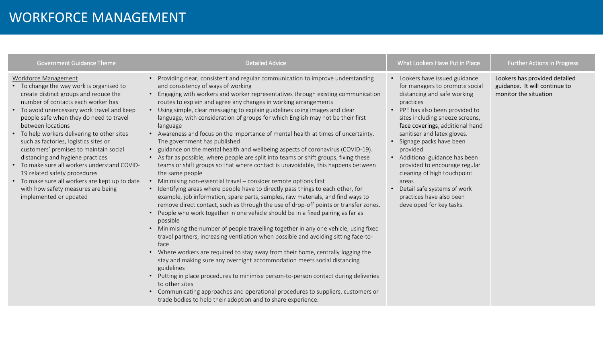#### WORKFORCE MANAGEMENT

| <b>Government Guidance Theme</b>                                                                                                                                                                                                                                                                                                                                                                                                                                                                                                                                                                                                       | <b>Detailed Advice</b>                                                                                                                                                                                                                                                                                                                                                                                                                                                                                                                                                                                                                                                                                                                                                                                                                                                                                                                                                                                                                                                                                                                                                                                                                                                                                                                                                                                                                                                                                                                                                                                                                                                                                                                                                                                                                                                                                                                         | What Lookers Have Put in Place                                                                                                                                                                                                                                                                                                                                                                                                                                                                                      | <b>Further Actions in Progress</b>                                                      |
|----------------------------------------------------------------------------------------------------------------------------------------------------------------------------------------------------------------------------------------------------------------------------------------------------------------------------------------------------------------------------------------------------------------------------------------------------------------------------------------------------------------------------------------------------------------------------------------------------------------------------------------|------------------------------------------------------------------------------------------------------------------------------------------------------------------------------------------------------------------------------------------------------------------------------------------------------------------------------------------------------------------------------------------------------------------------------------------------------------------------------------------------------------------------------------------------------------------------------------------------------------------------------------------------------------------------------------------------------------------------------------------------------------------------------------------------------------------------------------------------------------------------------------------------------------------------------------------------------------------------------------------------------------------------------------------------------------------------------------------------------------------------------------------------------------------------------------------------------------------------------------------------------------------------------------------------------------------------------------------------------------------------------------------------------------------------------------------------------------------------------------------------------------------------------------------------------------------------------------------------------------------------------------------------------------------------------------------------------------------------------------------------------------------------------------------------------------------------------------------------------------------------------------------------------------------------------------------------|---------------------------------------------------------------------------------------------------------------------------------------------------------------------------------------------------------------------------------------------------------------------------------------------------------------------------------------------------------------------------------------------------------------------------------------------------------------------------------------------------------------------|-----------------------------------------------------------------------------------------|
| Workforce Management<br>• To change the way work is organised to<br>create distinct groups and reduce the<br>number of contacts each worker has<br>• To avoid unnecessary work travel and keep<br>people safe when they do need to travel<br>between locations<br>• To help workers delivering to other sites<br>such as factories, logistics sites or<br>customers' premises to maintain social<br>distancing and hygiene practices<br>• To make sure all workers understand COVID-<br>19 related safety procedures<br>• To make sure all workers are kept up to date<br>with how safety measures are being<br>implemented or updated | • Providing clear, consistent and regular communication to improve understanding<br>and consistency of ways of working<br>• Engaging with workers and worker representatives through existing communication<br>routes to explain and agree any changes in working arrangements<br>• Using simple, clear messaging to explain guidelines using images and clear<br>language, with consideration of groups for which English may not be their first<br>language<br>• Awareness and focus on the importance of mental health at times of uncertainty.<br>The government has published<br>• guidance on the mental health and wellbeing aspects of coronavirus (COVID-19).<br>• As far as possible, where people are split into teams or shift groups, fixing these<br>teams or shift groups so that where contact is unavoidable, this happens between<br>the same people<br>• Minimising non-essential travel - consider remote options first<br>• Identifying areas where people have to directly pass things to each other, for<br>example, job information, spare parts, samples, raw materials, and find ways to<br>remove direct contact, such as through the use of drop-off points or transfer zones.<br>• People who work together in one vehicle should be in a fixed pairing as far as<br>possible<br>• Minimising the number of people travelling together in any one vehicle, using fixed<br>travel partners, increasing ventilation when possible and avoiding sitting face-to-<br>face<br>• Where workers are required to stay away from their home, centrally logging the<br>stay and making sure any overnight accommodation meets social distancing<br>guidelines<br>• Putting in place procedures to minimise person-to-person contact during deliveries<br>to other sites<br>• Communicating approaches and operational procedures to suppliers, customers or<br>trade bodies to help their adoption and to share experience. | • Lookers have issued guidance<br>for managers to promote social<br>distancing and safe working<br>practices<br>PPE has also been provided to<br>$\bullet$<br>sites including sneeze screens,<br>face coverings, additional hand<br>sanitiser and latex gloves.<br>Signage packs have been<br>provided<br>Additional guidance has been<br>provided to encourage regular<br>cleaning of high touchpoint<br>areas<br>Detail safe systems of work<br>$\bullet$<br>practices have also been<br>developed for key tasks. | Lookers has provided detailed<br>guidance. It will continue to<br>monitor the situation |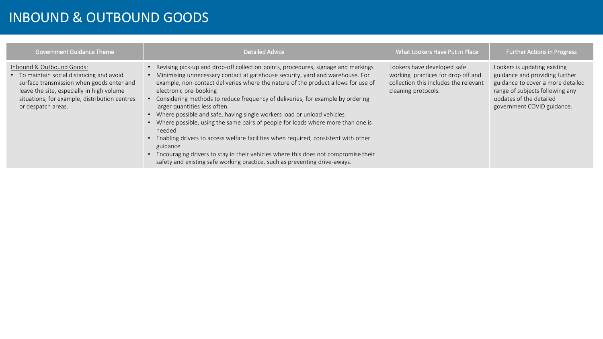### INBOUND & OUTBOUND GOODS

| <b>Government Guidance Theme</b>                                                                                                                                                                                                        | <b>Detailed Advice</b>                                                                                                                                                                                                                                                                                                                                                                                                                                                                                                                                                                                                                                                                                                                                                                                                                            | What Lookers Have Put in Place                                                                                                    | <b>Further Actions in Progress</b>                                                                                                                                                              |
|-----------------------------------------------------------------------------------------------------------------------------------------------------------------------------------------------------------------------------------------|---------------------------------------------------------------------------------------------------------------------------------------------------------------------------------------------------------------------------------------------------------------------------------------------------------------------------------------------------------------------------------------------------------------------------------------------------------------------------------------------------------------------------------------------------------------------------------------------------------------------------------------------------------------------------------------------------------------------------------------------------------------------------------------------------------------------------------------------------|-----------------------------------------------------------------------------------------------------------------------------------|-------------------------------------------------------------------------------------------------------------------------------------------------------------------------------------------------|
| Inbound & Outbound Goods:<br>• To maintain social distancing and avoid<br>surface transmission when goods enter and<br>leave the site, especially in high volume<br>situations, for example, distribution centres<br>or despatch areas. | Revising pick-up and drop-off collection points, procedures, signage and markings<br>Minimising unnecessary contact at gatehouse security, yard and warehouse. For<br>example, non-contact deliveries where the nature of the product allows for use of<br>electronic pre-booking<br>Considering methods to reduce frequency of deliveries, for example by ordering<br>larger quantities less often.<br>Where possible and safe, having single workers load or unload vehicles<br>Where possible, using the same pairs of people for loads where more than one is<br>needed<br>Enabling drivers to access welfare facilities when required, consistent with other<br>guidance<br>Encouraging drivers to stay in their vehicles where this does not compromise their<br>safety and existing safe working practice, such as preventing drive-aways. | Lookers have developed safe<br>working practices for drop off and<br>collection this includes the relevant<br>cleaning protocols. | Lookers is updating existing<br>guidance and providing further<br>guidance to cover a more detailed<br>range of subjects following any<br>updates of the detailed<br>government COVID guidance. |